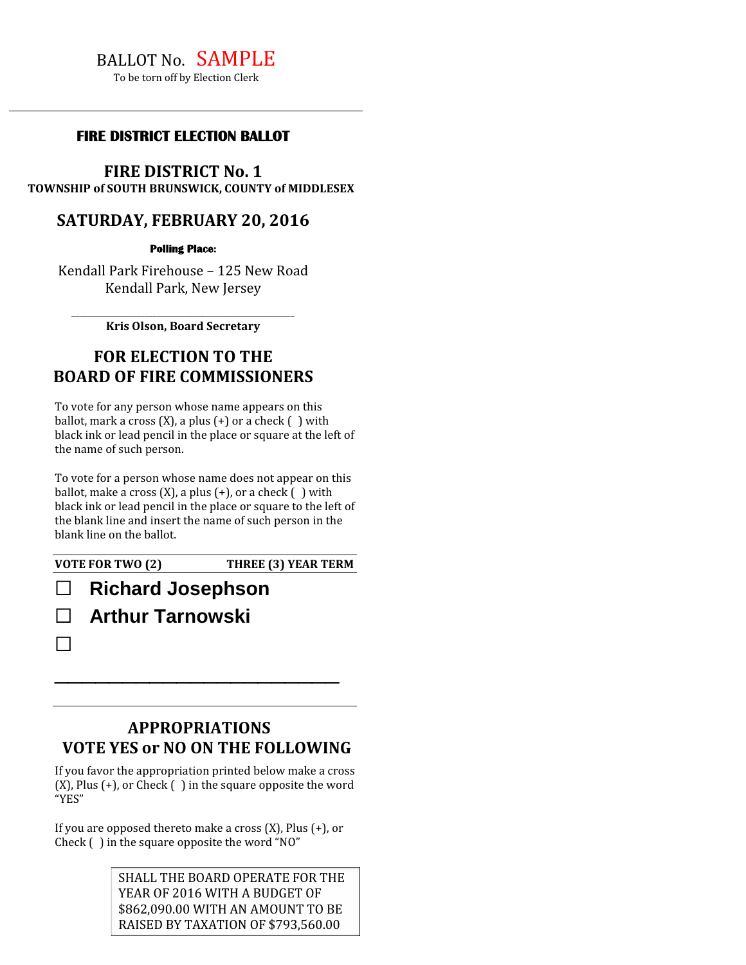# BALLOT No. SAMPLE

To be torn off by Election Clerk

#### **FIRE DISTRICT ELECTION BALLOT**

**FIRE DISTRICT No. 1**

**TOWNSHIP of SOUTH BRUNSWICK, COUNTY of MIDDLESEX**

### **SATURDAY, FEBRUARY 20, 2016**

**Polling Place:**

Kendall Park Firehouse – 125 New Road Kendall Park, New Jersey

\_\_\_\_\_\_\_\_\_\_\_\_\_\_\_\_\_\_\_\_\_\_\_\_\_\_\_\_\_\_\_\_\_\_\_\_\_\_\_\_\_\_\_\_\_\_\_\_\_\_\_\_\_\_\_ **Kris Olson, Board Secretary**

## **FOR ELECTION TO THE BOARD OF FIRE COMMISSIONERS**

To vote for any person whose name appears on this ballot, mark a cross  $(X)$ , a plus  $(+)$  or a check  $( )$  with black ink or lead pencil in the place or square at the left of the name of such person.

To vote for a person whose name does not appear on this ballot, make a cross  $(X)$ , a plus  $(+)$ , or a check  $( )$  with black ink or lead pencil in the place or square to the left of the blank line and insert the name of such person in the blank line on the ballot.

☐

**VOTE FOR TWO (2) THREE (3) YEAR TERM**

# ☐ **Richard Josephson** ☐ **Arthur Tarnowski**

## **APPROPRIATIONS VOTE YES or NO ON THE FOLLOWING**

 $\overline{\phantom{a}}$  , where  $\overline{\phantom{a}}$  , where  $\overline{\phantom{a}}$  , where  $\overline{\phantom{a}}$  , where  $\overline{\phantom{a}}$ 

If you favor the appropriation printed below make a cross  $(X)$ , Plus  $(+)$ , or Check  $( )$  in the square opposite the word "YES"

If you are opposed thereto make a cross  $(X)$ , Plus  $(+)$ , or Check ( ) in the square opposite the word "NO"

#### SHALL THE BOARD OPERATE FOR THE YEAR OF 2016 WITH A BUDGET OF \$862,090.00 WITH AN AMOUNT TO BE RAISED BY TAXATION OF \$793,560.00